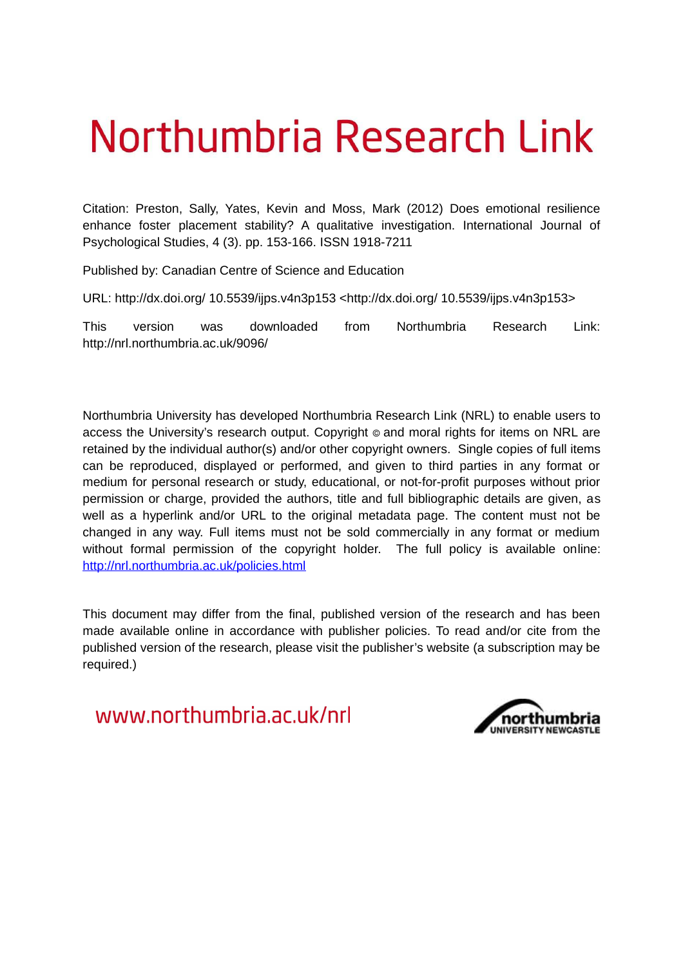# Northumbria Research Link

Citation: Preston, Sally, Yates, Kevin and Moss, Mark (2012) Does emotional resilience enhance foster placement stability? A qualitative investigation. International Journal of Psychological Studies, 4 (3). pp. 153-166. ISSN 1918-7211

Published by: Canadian Centre of Science and Education

URL: http://dx.doi.org/ 10.5539/ijps.v4n3p153 <http://dx.doi.org/ 10.5539/ijps.v4n3p153>

This version was downloaded from Northumbria Research Link: http://nrl.northumbria.ac.uk/9096/

Northumbria University has developed Northumbria Research Link (NRL) to enable users to access the University's research output. Copyright  $\circ$  and moral rights for items on NRL are retained by the individual author(s) and/or other copyright owners. Single copies of full items can be reproduced, displayed or performed, and given to third parties in any format or medium for personal research or study, educational, or not-for-profit purposes without prior permission or charge, provided the authors, title and full bibliographic details are given, as well as a hyperlink and/or URL to the original metadata page. The content must not be changed in any way. Full items must not be sold commercially in any format or medium without formal permission of the copyright holder. The full policy is available online: <http://nrl.northumbria.ac.uk/policies.html>

This document may differ from the final, published version of the research and has been made available online in accordance with publisher policies. To read and/or cite from the published version of the research, please visit the publisher's website (a subscription may be required.)

www.northumbria.ac.uk/nrl

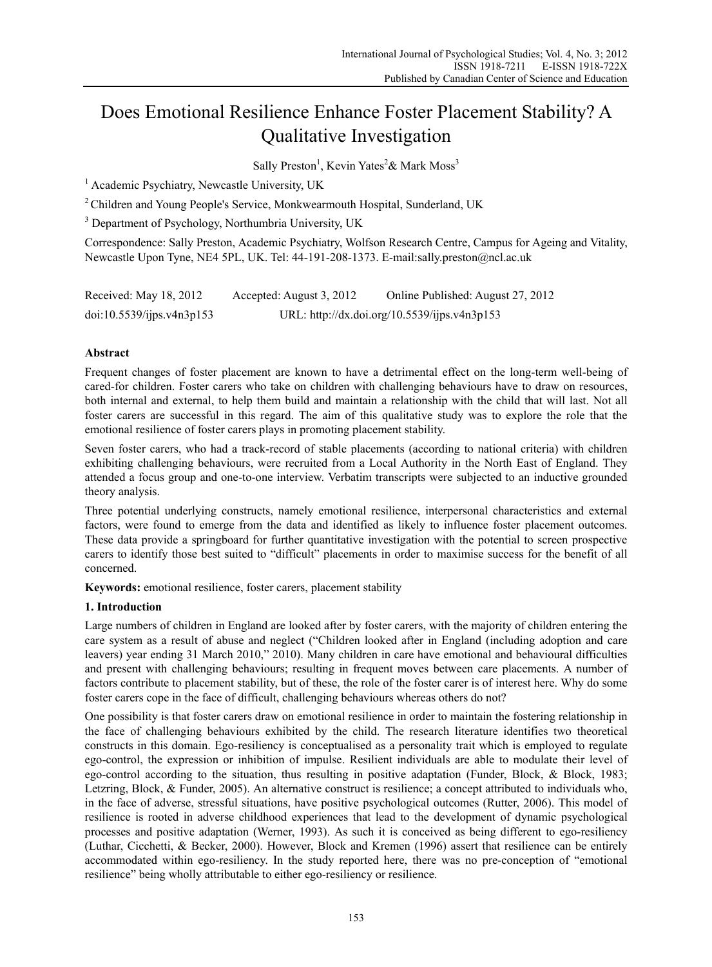# Does Emotional Resilience Enhance Foster Placement Stability? A Qualitative Investigation

Sally Preston<sup>1</sup>, Kevin Yates<sup>2</sup>& Mark Moss<sup>3</sup>

<sup>1</sup> Academic Psychiatry, Newcastle University, UK

<sup>2</sup> Children and Young People's Service, Monkwearmouth Hospital, Sunderland, UK

<sup>3</sup> Department of Psychology, Northumbria University, UK

Correspondence: Sally Preston, Academic Psychiatry, Wolfson Research Centre, Campus for Ageing and Vitality, Newcastle Upon Tyne, NE4 5PL, UK. Tel: 44-191-208-1373. E-mail:sally.preston@ncl.ac.uk

| Received: May 18, 2012    | Accepted: August 3, 2012                     | Online Published: August 27, 2012 |
|---------------------------|----------------------------------------------|-----------------------------------|
| doi:10.5539/ijps.v4n3p153 | URL: http://dx.doi.org/10.5539/ijps.v4n3p153 |                                   |

# **Abstract**

Frequent changes of foster placement are known to have a detrimental effect on the long-term well-being of cared-for children. Foster carers who take on children with challenging behaviours have to draw on resources, both internal and external, to help them build and maintain a relationship with the child that will last. Not all foster carers are successful in this regard. The aim of this qualitative study was to explore the role that the emotional resilience of foster carers plays in promoting placement stability.

Seven foster carers, who had a track-record of stable placements (according to national criteria) with children exhibiting challenging behaviours, were recruited from a Local Authority in the North East of England. They attended a focus group and one-to-one interview. Verbatim transcripts were subjected to an inductive grounded theory analysis.

Three potential underlying constructs, namely emotional resilience, interpersonal characteristics and external factors, were found to emerge from the data and identified as likely to influence foster placement outcomes. These data provide a springboard for further quantitative investigation with the potential to screen prospective carers to identify those best suited to "difficult" placements in order to maximise success for the benefit of all concerned.

**Keywords:** emotional resilience, foster carers, placement stability

# **1. Introduction**

Large numbers of children in England are looked after by foster carers, with the majority of children entering the care system as a result of abuse and neglect ("Children looked after in England (including adoption and care leavers) year ending 31 March 2010," 2010). Many children in care have emotional and behavioural difficulties and present with challenging behaviours; resulting in frequent moves between care placements. A number of factors contribute to placement stability, but of these, the role of the foster carer is of interest here. Why do some foster carers cope in the face of difficult, challenging behaviours whereas others do not?

One possibility is that foster carers draw on emotional resilience in order to maintain the fostering relationship in the face of challenging behaviours exhibited by the child. The research literature identifies two theoretical constructs in this domain. Ego-resiliency is conceptualised as a personality trait which is employed to regulate ego-control, the expression or inhibition of impulse. Resilient individuals are able to modulate their level of ego-control according to the situation, thus resulting in positive adaptation (Funder, Block, & Block, 1983; Letzring, Block, & Funder, 2005). An alternative construct is resilience; a concept attributed to individuals who, in the face of adverse, stressful situations, have positive psychological outcomes (Rutter, 2006). This model of resilience is rooted in adverse childhood experiences that lead to the development of dynamic psychological processes and positive adaptation (Werner, 1993). As such it is conceived as being different to ego-resiliency (Luthar, Cicchetti, & Becker, 2000). However, Block and Kremen (1996) assert that resilience can be entirely accommodated within ego-resiliency. In the study reported here, there was no pre-conception of "emotional resilience" being wholly attributable to either ego-resiliency or resilience.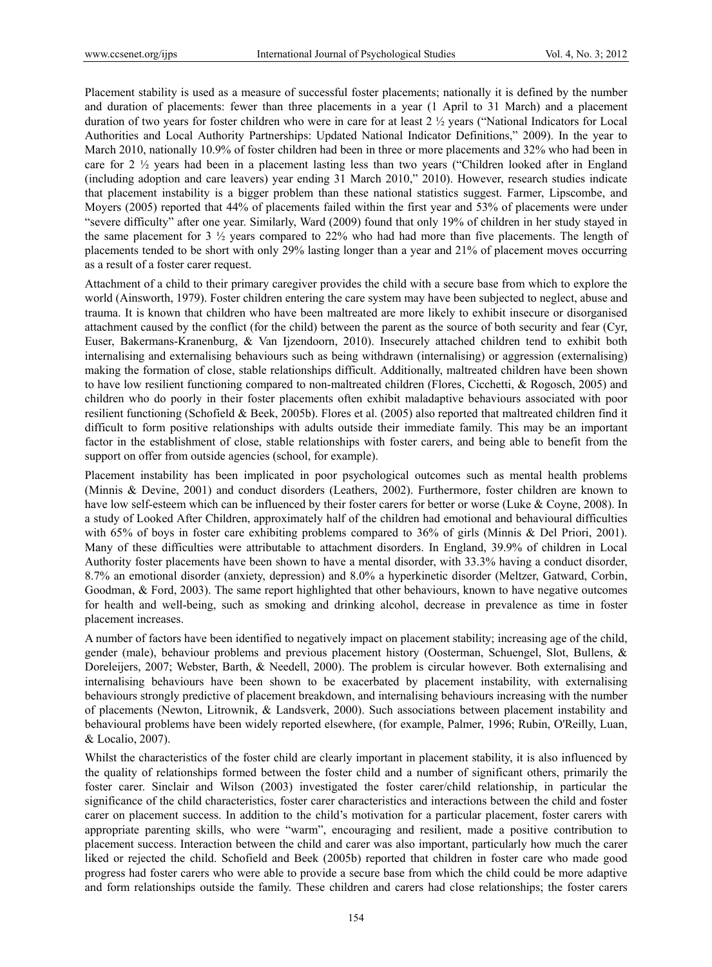Placement stability is used as a measure of successful foster placements; nationally it is defined by the number and duration of placements: fewer than three placements in a year (1 April to 31 March) and a placement duration of two years for foster children who were in care for at least 2 ½ years ("National Indicators for Local Authorities and Local Authority Partnerships: Updated National Indicator Definitions," 2009). In the year to March 2010, nationally 10.9% of foster children had been in three or more placements and 32% who had been in care for 2  $\frac{1}{2}$  years had been in a placement lasting less than two years ("Children looked after in England") (including adoption and care leavers) year ending 31 March 2010," 2010). However, research studies indicate that placement instability is a bigger problem than these national statistics suggest. Farmer, Lipscombe, and Moyers (2005) reported that 44% of placements failed within the first year and 53% of placements were under "severe difficulty" after one year. Similarly, Ward (2009) found that only 19% of children in her study stayed in the same placement for 3 ½ years compared to 22% who had had more than five placements. The length of placements tended to be short with only 29% lasting longer than a year and 21% of placement moves occurring as a result of a foster carer request.

Attachment of a child to their primary caregiver provides the child with a secure base from which to explore the world (Ainsworth, 1979). Foster children entering the care system may have been subjected to neglect, abuse and trauma. It is known that children who have been maltreated are more likely to exhibit insecure or disorganised attachment caused by the conflict (for the child) between the parent as the source of both security and fear (Cyr, Euser, Bakermans-Kranenburg, & Van Ijzendoorn, 2010). Insecurely attached children tend to exhibit both internalising and externalising behaviours such as being withdrawn (internalising) or aggression (externalising) making the formation of close, stable relationships difficult. Additionally, maltreated children have been shown to have low resilient functioning compared to non-maltreated children (Flores, Cicchetti, & Rogosch, 2005) and children who do poorly in their foster placements often exhibit maladaptive behaviours associated with poor resilient functioning (Schofield & Beek, 2005b). Flores et al. (2005) also reported that maltreated children find it difficult to form positive relationships with adults outside their immediate family. This may be an important factor in the establishment of close, stable relationships with foster carers, and being able to benefit from the support on offer from outside agencies (school, for example).

Placement instability has been implicated in poor psychological outcomes such as mental health problems (Minnis & Devine, 2001) and conduct disorders (Leathers, 2002). Furthermore, foster children are known to have low self-esteem which can be influenced by their foster carers for better or worse (Luke & Coyne, 2008). In a study of Looked After Children, approximately half of the children had emotional and behavioural difficulties with 65% of boys in foster care exhibiting problems compared to 36% of girls (Minnis & Del Priori, 2001). Many of these difficulties were attributable to attachment disorders. In England, 39.9% of children in Local Authority foster placements have been shown to have a mental disorder, with 33.3% having a conduct disorder, 8.7% an emotional disorder (anxiety, depression) and 8.0% a hyperkinetic disorder (Meltzer, Gatward, Corbin, Goodman, & Ford, 2003). The same report highlighted that other behaviours, known to have negative outcomes for health and well-being, such as smoking and drinking alcohol, decrease in prevalence as time in foster placement increases.

A number of factors have been identified to negatively impact on placement stability; increasing age of the child, gender (male), behaviour problems and previous placement history (Oosterman, Schuengel, Slot, Bullens, & Doreleijers, 2007; Webster, Barth, & Needell, 2000). The problem is circular however. Both externalising and internalising behaviours have been shown to be exacerbated by placement instability, with externalising behaviours strongly predictive of placement breakdown, and internalising behaviours increasing with the number of placements (Newton, Litrownik, & Landsverk, 2000). Such associations between placement instability and behavioural problems have been widely reported elsewhere, (for example, Palmer, 1996; Rubin, O'Reilly, Luan, & Localio, 2007).

Whilst the characteristics of the foster child are clearly important in placement stability, it is also influenced by the quality of relationships formed between the foster child and a number of significant others, primarily the foster carer. Sinclair and Wilson (2003) investigated the foster carer/child relationship, in particular the significance of the child characteristics, foster carer characteristics and interactions between the child and foster carer on placement success. In addition to the child's motivation for a particular placement, foster carers with appropriate parenting skills, who were "warm", encouraging and resilient, made a positive contribution to placement success. Interaction between the child and carer was also important, particularly how much the carer liked or rejected the child. Schofield and Beek (2005b) reported that children in foster care who made good progress had foster carers who were able to provide a secure base from which the child could be more adaptive and form relationships outside the family. These children and carers had close relationships; the foster carers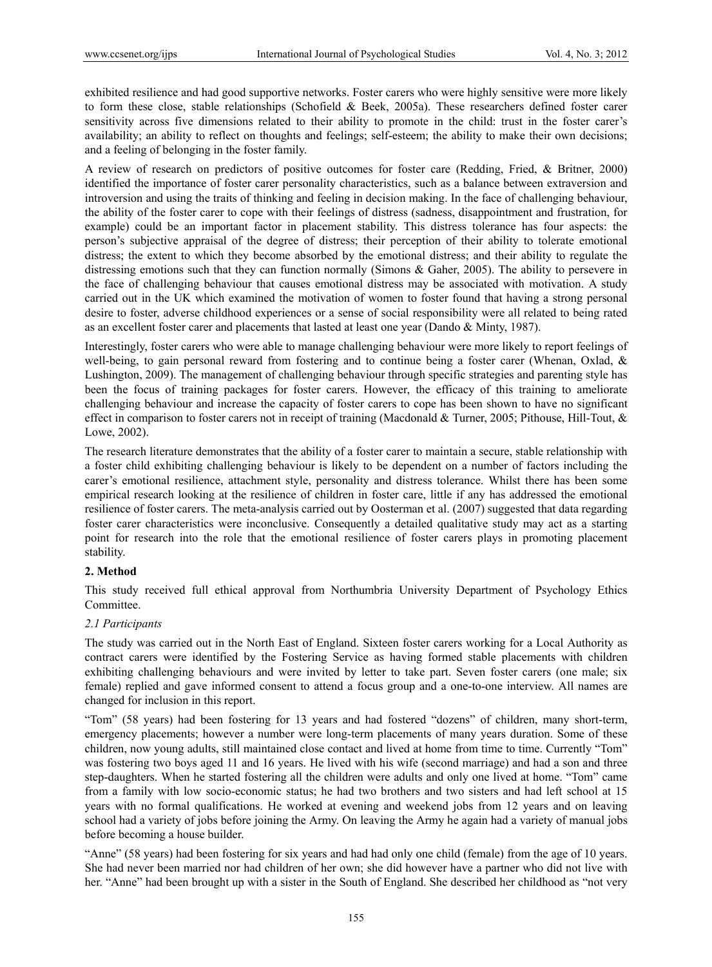exhibited resilience and had good supportive networks. Foster carers who were highly sensitive were more likely to form these close, stable relationships (Schofield & Beek, 2005a). These researchers defined foster carer sensitivity across five dimensions related to their ability to promote in the child: trust in the foster carer's availability; an ability to reflect on thoughts and feelings; self-esteem; the ability to make their own decisions; and a feeling of belonging in the foster family.

A review of research on predictors of positive outcomes for foster care (Redding, Fried, & Britner, 2000) identified the importance of foster carer personality characteristics, such as a balance between extraversion and introversion and using the traits of thinking and feeling in decision making. In the face of challenging behaviour, the ability of the foster carer to cope with their feelings of distress (sadness, disappointment and frustration, for example) could be an important factor in placement stability. This distress tolerance has four aspects: the person's subjective appraisal of the degree of distress; their perception of their ability to tolerate emotional distress; the extent to which they become absorbed by the emotional distress; and their ability to regulate the distressing emotions such that they can function normally (Simons & Gaher, 2005). The ability to persevere in the face of challenging behaviour that causes emotional distress may be associated with motivation. A study carried out in the UK which examined the motivation of women to foster found that having a strong personal desire to foster, adverse childhood experiences or a sense of social responsibility were all related to being rated as an excellent foster carer and placements that lasted at least one year (Dando & Minty, 1987).

Interestingly, foster carers who were able to manage challenging behaviour were more likely to report feelings of well-being, to gain personal reward from fostering and to continue being a foster carer (Whenan, Oxlad, & Lushington, 2009). The management of challenging behaviour through specific strategies and parenting style has been the focus of training packages for foster carers. However, the efficacy of this training to ameliorate challenging behaviour and increase the capacity of foster carers to cope has been shown to have no significant effect in comparison to foster carers not in receipt of training (Macdonald & Turner, 2005; Pithouse, Hill-Tout, & Lowe, 2002).

The research literature demonstrates that the ability of a foster carer to maintain a secure, stable relationship with a foster child exhibiting challenging behaviour is likely to be dependent on a number of factors including the carer's emotional resilience, attachment style, personality and distress tolerance. Whilst there has been some empirical research looking at the resilience of children in foster care, little if any has addressed the emotional resilience of foster carers. The meta-analysis carried out by Oosterman et al. (2007) suggested that data regarding foster carer characteristics were inconclusive. Consequently a detailed qualitative study may act as a starting point for research into the role that the emotional resilience of foster carers plays in promoting placement stability.

# **2. Method**

This study received full ethical approval from Northumbria University Department of Psychology Ethics Committee.

# *2.1 Participants*

The study was carried out in the North East of England. Sixteen foster carers working for a Local Authority as contract carers were identified by the Fostering Service as having formed stable placements with children exhibiting challenging behaviours and were invited by letter to take part. Seven foster carers (one male; six female) replied and gave informed consent to attend a focus group and a one-to-one interview. All names are changed for inclusion in this report.

"Tom" (58 years) had been fostering for 13 years and had fostered "dozens" of children, many short-term, emergency placements; however a number were long-term placements of many years duration. Some of these children, now young adults, still maintained close contact and lived at home from time to time. Currently "Tom" was fostering two boys aged 11 and 16 years. He lived with his wife (second marriage) and had a son and three step-daughters. When he started fostering all the children were adults and only one lived at home. "Tom" came from a family with low socio-economic status; he had two brothers and two sisters and had left school at 15 years with no formal qualifications. He worked at evening and weekend jobs from 12 years and on leaving school had a variety of jobs before joining the Army. On leaving the Army he again had a variety of manual jobs before becoming a house builder.

"Anne" (58 years) had been fostering for six years and had had only one child (female) from the age of 10 years. She had never been married nor had children of her own; she did however have a partner who did not live with her. "Anne" had been brought up with a sister in the South of England. She described her childhood as "not very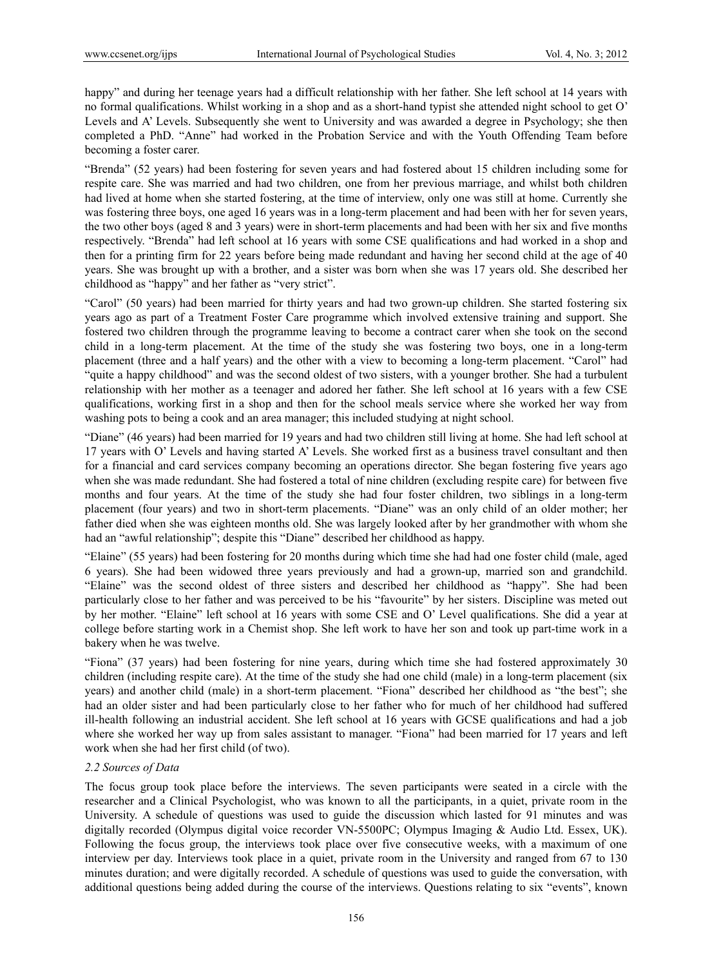happy" and during her teenage years had a difficult relationship with her father. She left school at 14 years with no formal qualifications. Whilst working in a shop and as a short-hand typist she attended night school to get O' Levels and A' Levels. Subsequently she went to University and was awarded a degree in Psychology; she then completed a PhD. "Anne" had worked in the Probation Service and with the Youth Offending Team before becoming a foster carer.

"Brenda" (52 years) had been fostering for seven years and had fostered about 15 children including some for respite care. She was married and had two children, one from her previous marriage, and whilst both children had lived at home when she started fostering, at the time of interview, only one was still at home. Currently she was fostering three boys, one aged 16 years was in a long-term placement and had been with her for seven years, the two other boys (aged 8 and 3 years) were in short-term placements and had been with her six and five months respectively. "Brenda" had left school at 16 years with some CSE qualifications and had worked in a shop and then for a printing firm for 22 years before being made redundant and having her second child at the age of 40 years. She was brought up with a brother, and a sister was born when she was 17 years old. She described her childhood as "happy" and her father as "very strict".

"Carol" (50 years) had been married for thirty years and had two grown-up children. She started fostering six years ago as part of a Treatment Foster Care programme which involved extensive training and support. She fostered two children through the programme leaving to become a contract carer when she took on the second child in a long-term placement. At the time of the study she was fostering two boys, one in a long-term placement (three and a half years) and the other with a view to becoming a long-term placement. "Carol" had "quite a happy childhood" and was the second oldest of two sisters, with a younger brother. She had a turbulent relationship with her mother as a teenager and adored her father. She left school at 16 years with a few CSE qualifications, working first in a shop and then for the school meals service where she worked her way from washing pots to being a cook and an area manager; this included studying at night school.

"Diane" (46 years) had been married for 19 years and had two children still living at home. She had left school at 17 years with O' Levels and having started A' Levels. She worked first as a business travel consultant and then for a financial and card services company becoming an operations director. She began fostering five years ago when she was made redundant. She had fostered a total of nine children (excluding respite care) for between five months and four years. At the time of the study she had four foster children, two siblings in a long-term placement (four years) and two in short-term placements. "Diane" was an only child of an older mother; her father died when she was eighteen months old. She was largely looked after by her grandmother with whom she had an "awful relationship"; despite this "Diane" described her childhood as happy.

"Elaine" (55 years) had been fostering for 20 months during which time she had had one foster child (male, aged 6 years). She had been widowed three years previously and had a grown-up, married son and grandchild. "Elaine" was the second oldest of three sisters and described her childhood as "happy". She had been particularly close to her father and was perceived to be his "favourite" by her sisters. Discipline was meted out by her mother. "Elaine" left school at 16 years with some CSE and O' Level qualifications. She did a year at college before starting work in a Chemist shop. She left work to have her son and took up part-time work in a bakery when he was twelve.

"Fiona" (37 years) had been fostering for nine years, during which time she had fostered approximately 30 children (including respite care). At the time of the study she had one child (male) in a long-term placement (six years) and another child (male) in a short-term placement. "Fiona" described her childhood as "the best"; she had an older sister and had been particularly close to her father who for much of her childhood had suffered ill-health following an industrial accident. She left school at 16 years with GCSE qualifications and had a job where she worked her way up from sales assistant to manager. "Fiona" had been married for 17 years and left work when she had her first child (of two).

# *2.2 Sources of Data*

The focus group took place before the interviews. The seven participants were seated in a circle with the researcher and a Clinical Psychologist, who was known to all the participants, in a quiet, private room in the University. A schedule of questions was used to guide the discussion which lasted for 91 minutes and was digitally recorded (Olympus digital voice recorder VN-5500PC; Olympus Imaging & Audio Ltd. Essex, UK). Following the focus group, the interviews took place over five consecutive weeks, with a maximum of one interview per day. Interviews took place in a quiet, private room in the University and ranged from 67 to 130 minutes duration; and were digitally recorded. A schedule of questions was used to guide the conversation, with additional questions being added during the course of the interviews. Questions relating to six "events", known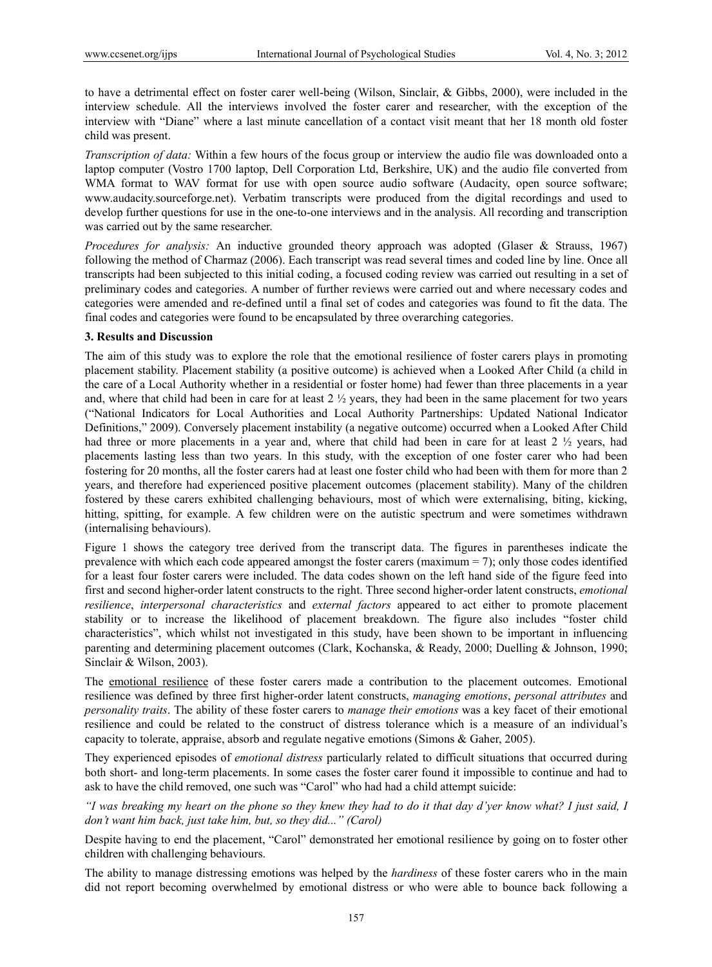to have a detrimental effect on foster carer well-being (Wilson, Sinclair, & Gibbs, 2000), were included in the interview schedule. All the interviews involved the foster carer and researcher, with the exception of the interview with "Diane" where a last minute cancellation of a contact visit meant that her 18 month old foster child was present.

*Transcription of data:* Within a few hours of the focus group or interview the audio file was downloaded onto a laptop computer (Vostro 1700 laptop, Dell Corporation Ltd, Berkshire, UK) and the audio file converted from WMA format to WAV format for use with open source audio software (Audacity, open source software; www.audacity.sourceforge.net). Verbatim transcripts were produced from the digital recordings and used to develop further questions for use in the one-to-one interviews and in the analysis. All recording and transcription was carried out by the same researcher.

*Procedures for analysis:* An inductive grounded theory approach was adopted (Glaser & Strauss, 1967) following the method of Charmaz (2006). Each transcript was read several times and coded line by line. Once all transcripts had been subjected to this initial coding, a focused coding review was carried out resulting in a set of preliminary codes and categories. A number of further reviews were carried out and where necessary codes and categories were amended and re-defined until a final set of codes and categories was found to fit the data. The final codes and categories were found to be encapsulated by three overarching categories.

#### **3. Results and Discussion**

The aim of this study was to explore the role that the emotional resilience of foster carers plays in promoting placement stability. Placement stability (a positive outcome) is achieved when a Looked After Child (a child in the care of a Local Authority whether in a residential or foster home) had fewer than three placements in a year and, where that child had been in care for at least  $2\frac{1}{2}$  years, they had been in the same placement for two years ("National Indicators for Local Authorities and Local Authority Partnerships: Updated National Indicator Definitions," 2009). Conversely placement instability (a negative outcome) occurred when a Looked After Child had three or more placements in a year and, where that child had been in care for at least  $2 \frac{1}{2}$  years, had placements lasting less than two years. In this study, with the exception of one foster carer who had been fostering for 20 months, all the foster carers had at least one foster child who had been with them for more than 2 years, and therefore had experienced positive placement outcomes (placement stability). Many of the children fostered by these carers exhibited challenging behaviours, most of which were externalising, biting, kicking, hitting, spitting, for example. A few children were on the autistic spectrum and were sometimes withdrawn (internalising behaviours).

Figure 1 shows the category tree derived from the transcript data. The figures in parentheses indicate the prevalence with which each code appeared amongst the foster carers (maximum = 7); only those codes identified for a least four foster carers were included. The data codes shown on the left hand side of the figure feed into first and second higher-order latent constructs to the right. Three second higher-order latent constructs, *emotional resilience*, *interpersonal characteristics* and *external factors* appeared to act either to promote placement stability or to increase the likelihood of placement breakdown. The figure also includes "foster child characteristics", which whilst not investigated in this study, have been shown to be important in influencing parenting and determining placement outcomes (Clark, Kochanska, & Ready, 2000; Duelling & Johnson, 1990; Sinclair & Wilson, 2003).

The emotional resilience of these foster carers made a contribution to the placement outcomes. Emotional resilience was defined by three first higher-order latent constructs, *managing emotions*, *personal attributes* and *personality traits*. The ability of these foster carers to *manage their emotions* was a key facet of their emotional resilience and could be related to the construct of distress tolerance which is a measure of an individual's capacity to tolerate, appraise, absorb and regulate negative emotions (Simons & Gaher, 2005).

They experienced episodes of *emotional distress* particularly related to difficult situations that occurred during both short- and long-term placements. In some cases the foster carer found it impossible to continue and had to ask to have the child removed, one such was "Carol" who had had a child attempt suicide:

*"I was breaking my heart on the phone so they knew they had to do it that day d'yer know what? I just said, I don't want him back, just take him, but, so they did..." (Carol)* 

Despite having to end the placement, "Carol" demonstrated her emotional resilience by going on to foster other children with challenging behaviours.

The ability to manage distressing emotions was helped by the *hardiness* of these foster carers who in the main did not report becoming overwhelmed by emotional distress or who were able to bounce back following a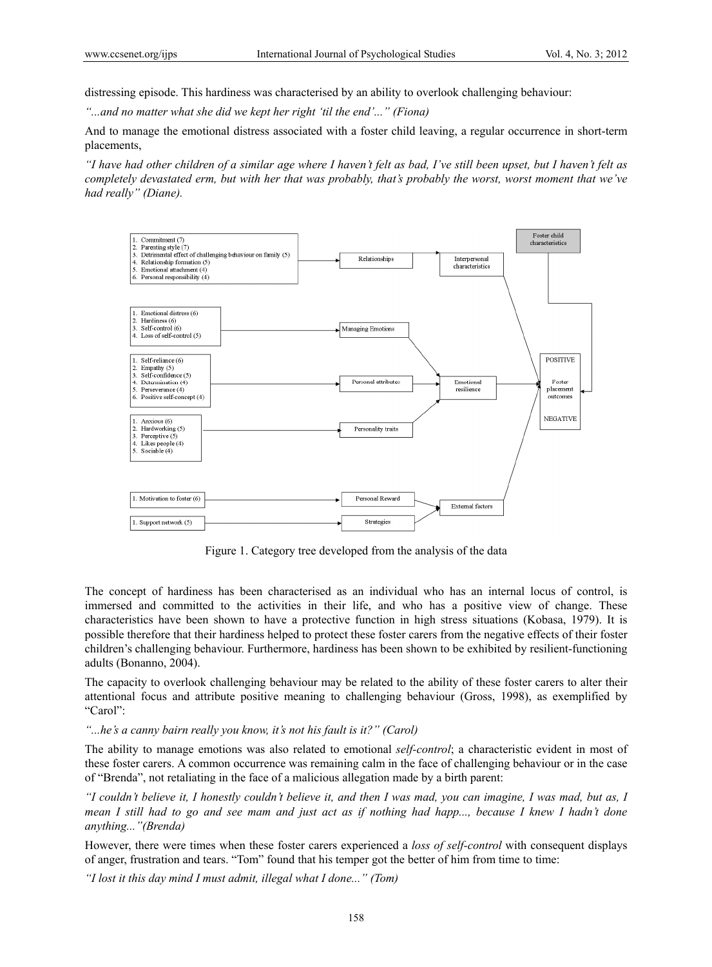distressing episode. This hardiness was characterised by an ability to overlook challenging behaviour:

*"...and no matter what she did we kept her right 'til the end'..." (Fiona)* 

And to manage the emotional distress associated with a foster child leaving, a regular occurrence in short-term placements,

*"I have had other children of a similar age where I haven't felt as bad, I've still been upset, but I haven't felt as completely devastated erm, but with her that was probably, that's probably the worst, worst moment that we've had really" (Diane).* 



Figure 1. Category tree developed from the analysis of the data

The concept of hardiness has been characterised as an individual who has an internal locus of control, is immersed and committed to the activities in their life, and who has a positive view of change. These characteristics have been shown to have a protective function in high stress situations (Kobasa, 1979). It is possible therefore that their hardiness helped to protect these foster carers from the negative effects of their foster children's challenging behaviour. Furthermore, hardiness has been shown to be exhibited by resilient-functioning adults (Bonanno, 2004).

The capacity to overlook challenging behaviour may be related to the ability of these foster carers to alter their attentional focus and attribute positive meaning to challenging behaviour (Gross, 1998), as exemplified by "Carol":

*"...he's a canny bairn really you know, it's not his fault is it?" (Carol)* 

The ability to manage emotions was also related to emotional *self-control*; a characteristic evident in most of these foster carers. A common occurrence was remaining calm in the face of challenging behaviour or in the case of "Brenda", not retaliating in the face of a malicious allegation made by a birth parent:

*"I couldn't believe it, I honestly couldn't believe it, and then I was mad, you can imagine, I was mad, but as, I mean I still had to go and see mam and just act as if nothing had happ..., because I knew I hadn't done anything..."(Brenda)* 

However, there were times when these foster carers experienced a *loss of self-control* with consequent displays of anger, frustration and tears. "Tom" found that his temper got the better of him from time to time:

*"I lost it this day mind I must admit, illegal what I done..." (Tom)*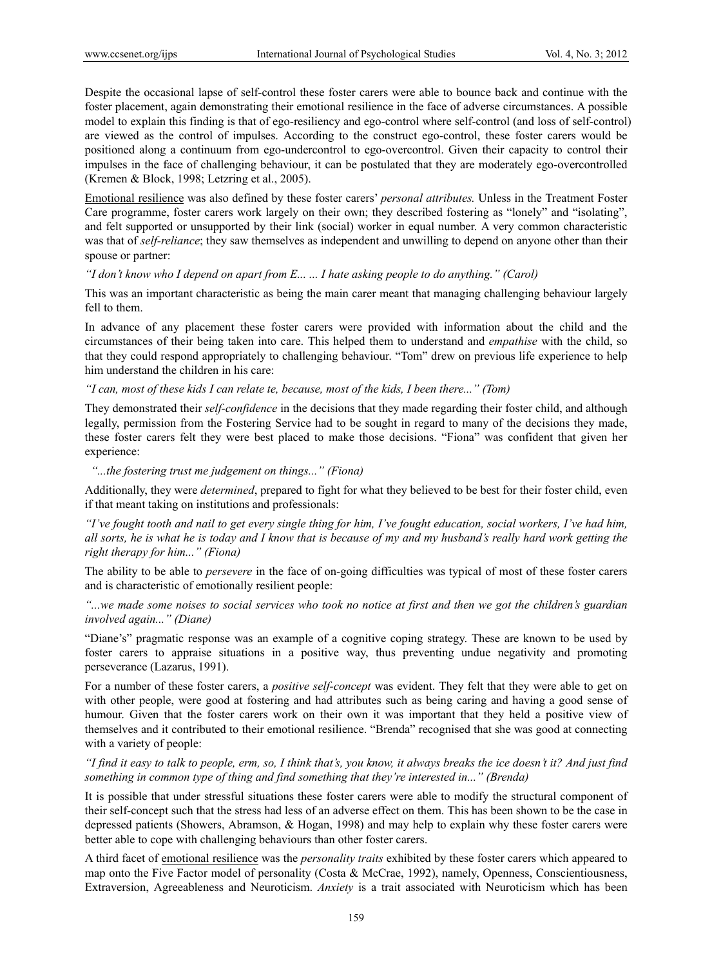Despite the occasional lapse of self-control these foster carers were able to bounce back and continue with the foster placement, again demonstrating their emotional resilience in the face of adverse circumstances. A possible model to explain this finding is that of ego-resiliency and ego-control where self-control (and loss of self-control) are viewed as the control of impulses. According to the construct ego-control, these foster carers would be positioned along a continuum from ego-undercontrol to ego-overcontrol. Given their capacity to control their impulses in the face of challenging behaviour, it can be postulated that they are moderately ego-overcontrolled (Kremen & Block, 1998; Letzring et al., 2005).

Emotional resilience was also defined by these foster carers' *personal attributes.* Unless in the Treatment Foster Care programme, foster carers work largely on their own; they described fostering as "lonely" and "isolating", and felt supported or unsupported by their link (social) worker in equal number. A very common characteristic was that of *self-reliance*; they saw themselves as independent and unwilling to depend on anyone other than their spouse or partner:

*"I don't know who I depend on apart from E... ... I hate asking people to do anything." (Carol)* 

This was an important characteristic as being the main carer meant that managing challenging behaviour largely fell to them.

In advance of any placement these foster carers were provided with information about the child and the circumstances of their being taken into care. This helped them to understand and *empathise* with the child, so that they could respond appropriately to challenging behaviour. "Tom" drew on previous life experience to help him understand the children in his care:

*"I can, most of these kids I can relate te, because, most of the kids, I been there..." (Tom)* 

They demonstrated their *self-confidence* in the decisions that they made regarding their foster child, and although legally, permission from the Fostering Service had to be sought in regard to many of the decisions they made, these foster carers felt they were best placed to make those decisions. "Fiona" was confident that given her experience:

 *"...the fostering trust me judgement on things..." (Fiona)* 

Additionally, they were *determined*, prepared to fight for what they believed to be best for their foster child, even if that meant taking on institutions and professionals:

*"I've fought tooth and nail to get every single thing for him, I've fought education, social workers, I've had him, all sorts, he is what he is today and I know that is because of my and my husband's really hard work getting the right therapy for him..." (Fiona)* 

The ability to be able to *persevere* in the face of on-going difficulties was typical of most of these foster carers and is characteristic of emotionally resilient people:

*"...we made some noises to social services who took no notice at first and then we got the children's guardian involved again..." (Diane)* 

"Diane's" pragmatic response was an example of a cognitive coping strategy. These are known to be used by foster carers to appraise situations in a positive way, thus preventing undue negativity and promoting perseverance (Lazarus, 1991).

For a number of these foster carers, a *positive self-concept* was evident. They felt that they were able to get on with other people, were good at fostering and had attributes such as being caring and having a good sense of humour. Given that the foster carers work on their own it was important that they held a positive view of themselves and it contributed to their emotional resilience. "Brenda" recognised that she was good at connecting with a variety of people:

*"I find it easy to talk to people, erm, so, I think that's, you know, it always breaks the ice doesn't it? And just find something in common type of thing and find something that they're interested in..." (Brenda)* 

It is possible that under stressful situations these foster carers were able to modify the structural component of their self-concept such that the stress had less of an adverse effect on them. This has been shown to be the case in depressed patients (Showers, Abramson, & Hogan, 1998) and may help to explain why these foster carers were better able to cope with challenging behaviours than other foster carers.

A third facet of emotional resilience was the *personality traits* exhibited by these foster carers which appeared to map onto the Five Factor model of personality (Costa & McCrae, 1992), namely, Openness, Conscientiousness, Extraversion, Agreeableness and Neuroticism. *Anxiety* is a trait associated with Neuroticism which has been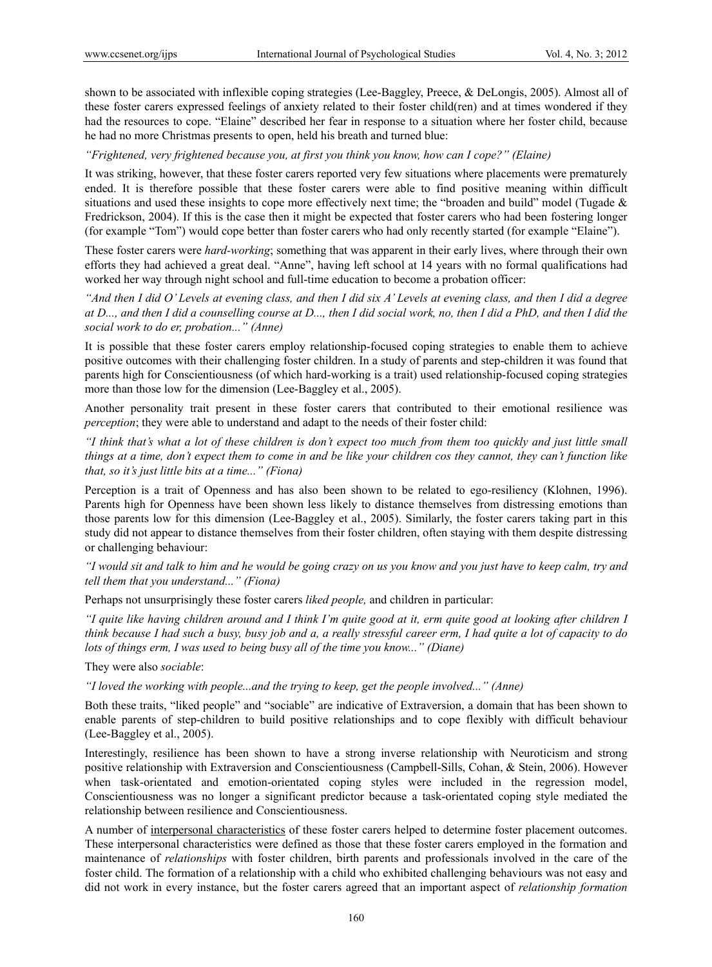shown to be associated with inflexible coping strategies (Lee-Baggley, Preece, & DeLongis, 2005). Almost all of these foster carers expressed feelings of anxiety related to their foster child(ren) and at times wondered if they had the resources to cope. "Elaine" described her fear in response to a situation where her foster child, because he had no more Christmas presents to open, held his breath and turned blue:

*"Frightened, very frightened because you, at first you think you know, how can I cope?" (Elaine)* 

It was striking, however, that these foster carers reported very few situations where placements were prematurely ended. It is therefore possible that these foster carers were able to find positive meaning within difficult situations and used these insights to cope more effectively next time; the "broaden and build" model (Tugade  $\&$ Fredrickson, 2004). If this is the case then it might be expected that foster carers who had been fostering longer (for example "Tom") would cope better than foster carers who had only recently started (for example "Elaine").

These foster carers were *hard-working*; something that was apparent in their early lives, where through their own efforts they had achieved a great deal. "Anne", having left school at 14 years with no formal qualifications had worked her way through night school and full-time education to become a probation officer:

*"And then I did O' Levels at evening class, and then I did six A' Levels at evening class, and then I did a degree at D..., and then I did a counselling course at D..., then I did social work, no, then I did a PhD, and then I did the social work to do er, probation..." (Anne)* 

It is possible that these foster carers employ relationship-focused coping strategies to enable them to achieve positive outcomes with their challenging foster children. In a study of parents and step-children it was found that parents high for Conscientiousness (of which hard-working is a trait) used relationship-focused coping strategies more than those low for the dimension (Lee-Baggley et al., 2005).

Another personality trait present in these foster carers that contributed to their emotional resilience was *perception*; they were able to understand and adapt to the needs of their foster child:

*"I think that's what a lot of these children is don't expect too much from them too quickly and just little small things at a time, don't expect them to come in and be like your children cos they cannot, they can't function like that, so it's just little bits at a time..." (Fiona)* 

Perception is a trait of Openness and has also been shown to be related to ego-resiliency (Klohnen, 1996). Parents high for Openness have been shown less likely to distance themselves from distressing emotions than those parents low for this dimension (Lee-Baggley et al., 2005). Similarly, the foster carers taking part in this study did not appear to distance themselves from their foster children, often staying with them despite distressing or challenging behaviour:

*"I would sit and talk to him and he would be going crazy on us you know and you just have to keep calm, try and tell them that you understand..." (Fiona)* 

Perhaps not unsurprisingly these foster carers *liked people,* and children in particular:

*"I quite like having children around and I think I'm quite good at it, erm quite good at looking after children I think because I had such a busy, busy job and a, a really stressful career erm, I had quite a lot of capacity to do lots of things erm, I was used to being busy all of the time you know..." (Diane)* 

They were also *sociable*:

*"I loved the working with people...and the trying to keep, get the people involved..." (Anne)* 

Both these traits, "liked people" and "sociable" are indicative of Extraversion, a domain that has been shown to enable parents of step-children to build positive relationships and to cope flexibly with difficult behaviour (Lee-Baggley et al., 2005).

Interestingly, resilience has been shown to have a strong inverse relationship with Neuroticism and strong positive relationship with Extraversion and Conscientiousness (Campbell-Sills, Cohan, & Stein, 2006). However when task-orientated and emotion-orientated coping styles were included in the regression model, Conscientiousness was no longer a significant predictor because a task-orientated coping style mediated the relationship between resilience and Conscientiousness.

A number of interpersonal characteristics of these foster carers helped to determine foster placement outcomes. These interpersonal characteristics were defined as those that these foster carers employed in the formation and maintenance of *relationships* with foster children, birth parents and professionals involved in the care of the foster child. The formation of a relationship with a child who exhibited challenging behaviours was not easy and did not work in every instance, but the foster carers agreed that an important aspect of *relationship formation*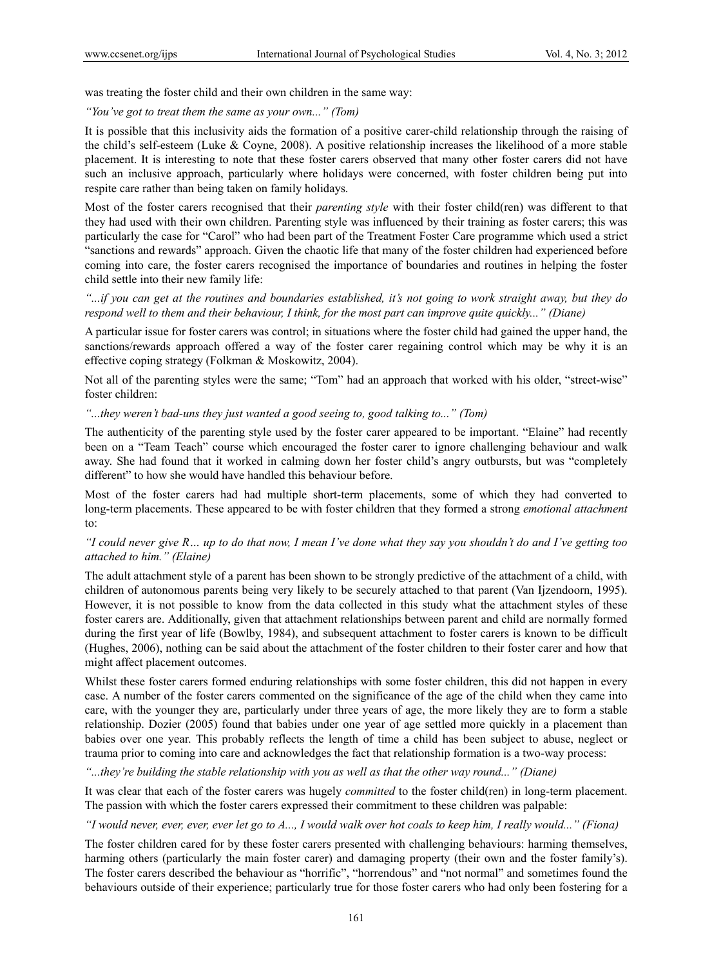was treating the foster child and their own children in the same way:

#### *"You've got to treat them the same as your own..." (Tom)*

It is possible that this inclusivity aids the formation of a positive carer-child relationship through the raising of the child's self-esteem (Luke & Coyne, 2008). A positive relationship increases the likelihood of a more stable placement. It is interesting to note that these foster carers observed that many other foster carers did not have such an inclusive approach, particularly where holidays were concerned, with foster children being put into respite care rather than being taken on family holidays.

Most of the foster carers recognised that their *parenting style* with their foster child(ren) was different to that they had used with their own children. Parenting style was influenced by their training as foster carers; this was particularly the case for "Carol" who had been part of the Treatment Foster Care programme which used a strict "sanctions and rewards" approach. Given the chaotic life that many of the foster children had experienced before coming into care, the foster carers recognised the importance of boundaries and routines in helping the foster child settle into their new family life:

*"...if you can get at the routines and boundaries established, it's not going to work straight away, but they do respond well to them and their behaviour, I think, for the most part can improve quite quickly..." (Diane)* 

A particular issue for foster carers was control; in situations where the foster child had gained the upper hand, the sanctions/rewards approach offered a way of the foster carer regaining control which may be why it is an effective coping strategy (Folkman & Moskowitz, 2004).

Not all of the parenting styles were the same; "Tom" had an approach that worked with his older, "street-wise" foster children:

*"...they weren't bad-uns they just wanted a good seeing to, good talking to..." (Tom)* 

The authenticity of the parenting style used by the foster carer appeared to be important. "Elaine" had recently been on a "Team Teach" course which encouraged the foster carer to ignore challenging behaviour and walk away. She had found that it worked in calming down her foster child's angry outbursts, but was "completely different" to how she would have handled this behaviour before.

Most of the foster carers had had multiple short-term placements, some of which they had converted to long-term placements. These appeared to be with foster children that they formed a strong *emotional attachment* to:

# *"I could never give R… up to do that now, I mean I've done what they say you shouldn't do and I've getting too attached to him." (Elaine)*

The adult attachment style of a parent has been shown to be strongly predictive of the attachment of a child, with children of autonomous parents being very likely to be securely attached to that parent (Van Ijzendoorn, 1995). However, it is not possible to know from the data collected in this study what the attachment styles of these foster carers are. Additionally, given that attachment relationships between parent and child are normally formed during the first year of life (Bowlby, 1984), and subsequent attachment to foster carers is known to be difficult (Hughes, 2006), nothing can be said about the attachment of the foster children to their foster carer and how that might affect placement outcomes.

Whilst these foster carers formed enduring relationships with some foster children, this did not happen in every case. A number of the foster carers commented on the significance of the age of the child when they came into care, with the younger they are, particularly under three years of age, the more likely they are to form a stable relationship. Dozier (2005) found that babies under one year of age settled more quickly in a placement than babies over one year. This probably reflects the length of time a child has been subject to abuse, neglect or trauma prior to coming into care and acknowledges the fact that relationship formation is a two-way process:

*"...they're building the stable relationship with you as well as that the other way round..." (Diane)* 

It was clear that each of the foster carers was hugely *committed* to the foster child(ren) in long-term placement. The passion with which the foster carers expressed their commitment to these children was palpable:

*"I would never, ever, ever, ever let go to A..., I would walk over hot coals to keep him, I really would..." (Fiona)* 

The foster children cared for by these foster carers presented with challenging behaviours: harming themselves, harming others (particularly the main foster carer) and damaging property (their own and the foster family's). The foster carers described the behaviour as "horrific", "horrendous" and "not normal" and sometimes found the behaviours outside of their experience; particularly true for those foster carers who had only been fostering for a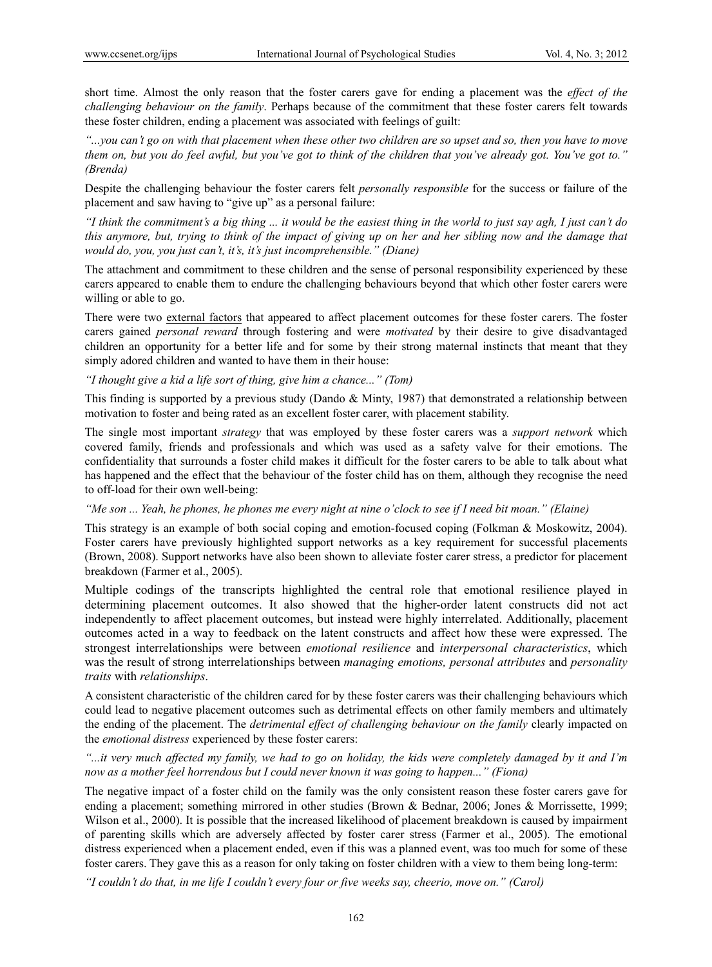short time. Almost the only reason that the foster carers gave for ending a placement was the *effect of the challenging behaviour on the family*. Perhaps because of the commitment that these foster carers felt towards these foster children, ending a placement was associated with feelings of guilt:

*"...you can't go on with that placement when these other two children are so upset and so, then you have to move them on, but you do feel awful, but you've got to think of the children that you've already got. You've got to." (Brenda)* 

Despite the challenging behaviour the foster carers felt *personally responsible* for the success or failure of the placement and saw having to "give up" as a personal failure:

*"I think the commitment's a big thing ... it would be the easiest thing in the world to just say agh, I just can't do this anymore, but, trying to think of the impact of giving up on her and her sibling now and the damage that would do, you, you just can't, it's, it's just incomprehensible." (Diane)* 

The attachment and commitment to these children and the sense of personal responsibility experienced by these carers appeared to enable them to endure the challenging behaviours beyond that which other foster carers were willing or able to go.

There were two external factors that appeared to affect placement outcomes for these foster carers. The foster carers gained *personal reward* through fostering and were *motivated* by their desire to give disadvantaged children an opportunity for a better life and for some by their strong maternal instincts that meant that they simply adored children and wanted to have them in their house:

*"I thought give a kid a life sort of thing, give him a chance..." (Tom)* 

This finding is supported by a previous study (Dando & Minty, 1987) that demonstrated a relationship between motivation to foster and being rated as an excellent foster carer, with placement stability.

The single most important *strategy* that was employed by these foster carers was a *support network* which covered family, friends and professionals and which was used as a safety valve for their emotions. The confidentiality that surrounds a foster child makes it difficult for the foster carers to be able to talk about what has happened and the effect that the behaviour of the foster child has on them, although they recognise the need to off-load for their own well-being:

# *"Me son ... Yeah, he phones, he phones me every night at nine o'clock to see if I need bit moan." (Elaine)*

This strategy is an example of both social coping and emotion-focused coping (Folkman & Moskowitz, 2004). Foster carers have previously highlighted support networks as a key requirement for successful placements (Brown, 2008). Support networks have also been shown to alleviate foster carer stress, a predictor for placement breakdown (Farmer et al., 2005).

Multiple codings of the transcripts highlighted the central role that emotional resilience played in determining placement outcomes. It also showed that the higher-order latent constructs did not act independently to affect placement outcomes, but instead were highly interrelated. Additionally, placement outcomes acted in a way to feedback on the latent constructs and affect how these were expressed. The strongest interrelationships were between *emotional resilience* and *interpersonal characteristics*, which was the result of strong interrelationships between *managing emotions, personal attributes* and *personality traits* with *relationships*.

A consistent characteristic of the children cared for by these foster carers was their challenging behaviours which could lead to negative placement outcomes such as detrimental effects on other family members and ultimately the ending of the placement. The *detrimental effect of challenging behaviour on the family* clearly impacted on the *emotional distress* experienced by these foster carers:

*"...it very much affected my family, we had to go on holiday, the kids were completely damaged by it and I'm now as a mother feel horrendous but I could never known it was going to happen..." (Fiona)* 

The negative impact of a foster child on the family was the only consistent reason these foster carers gave for ending a placement; something mirrored in other studies (Brown & Bednar, 2006; Jones & Morrissette, 1999; Wilson et al., 2000). It is possible that the increased likelihood of placement breakdown is caused by impairment of parenting skills which are adversely affected by foster carer stress (Farmer et al., 2005). The emotional distress experienced when a placement ended, even if this was a planned event, was too much for some of these foster carers. They gave this as a reason for only taking on foster children with a view to them being long-term:

*"I couldn't do that, in me life I couldn't every four or five weeks say, cheerio, move on." (Carol)*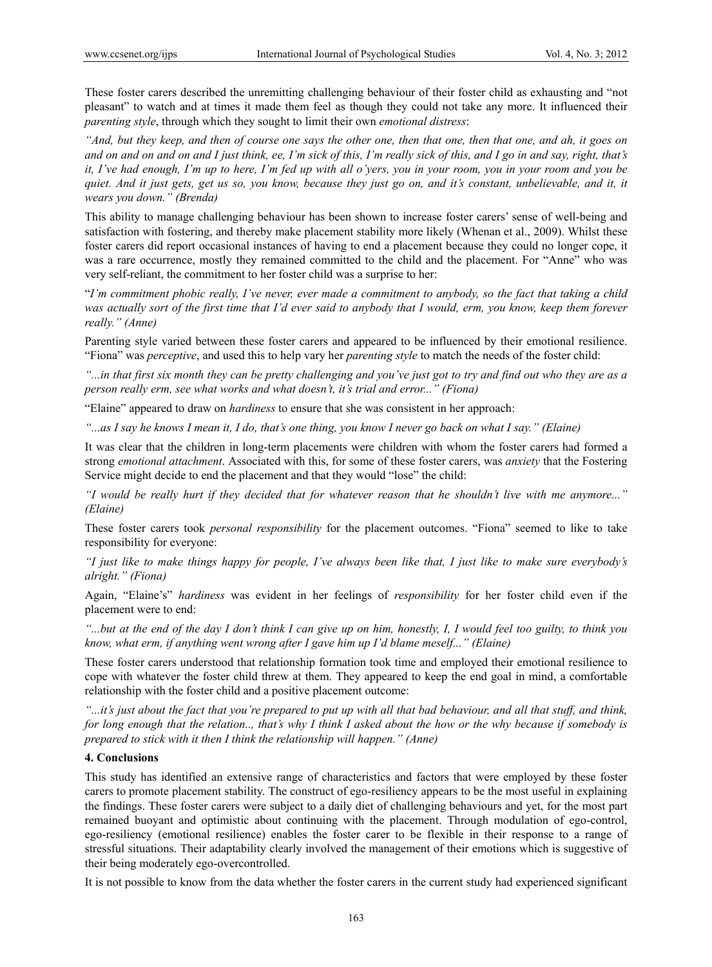These foster carers described the unremitting challenging behaviour of their foster child as exhausting and "not pleasant" to watch and at times it made them feel as though they could not take any more. It influenced their *parenting style*, through which they sought to limit their own *emotional distress*:

*"And, but they keep, and then of course one says the other one, then that one, then that one, and ah, it goes on and on and on and on and I just think, ee, I'm sick of this, I'm really sick of this, and I go in and say, right, that's it, I've had enough, I'm up to here, I'm fed up with all o'yers, you in your room, you in your room and you be quiet. And it just gets, get us so, you know, because they just go on, and it's constant, unbelievable, and it, it wears you down." (Brenda)* 

This ability to manage challenging behaviour has been shown to increase foster carers' sense of well-being and satisfaction with fostering, and thereby make placement stability more likely (Whenan et al., 2009). Whilst these foster carers did report occasional instances of having to end a placement because they could no longer cope, it was a rare occurrence, mostly they remained committed to the child and the placement. For "Anne" who was very self-reliant, the commitment to her foster child was a surprise to her:

"*I'm commitment phobic really, I've never, ever made a commitment to anybody, so the fact that taking a child was actually sort of the first time that I'd ever said to anybody that I would, erm, you know, keep them forever really." (Anne)*

Parenting style varied between these foster carers and appeared to be influenced by their emotional resilience. "Fiona" was *perceptive*, and used this to help vary her *parenting style* to match the needs of the foster child:

*"...in that first six month they can be pretty challenging and you've just got to try and find out who they are as a person really erm, see what works and what doesn't, it's trial and error..." (Fiona)* 

"Elaine" appeared to draw on *hardiness* to ensure that she was consistent in her approach:

*"...as I say he knows I mean it, I do, that's one thing, you know I never go back on what I say." (Elaine)* 

It was clear that the children in long-term placements were children with whom the foster carers had formed a strong *emotional attachment*. Associated with this, for some of these foster carers, was *anxiety* that the Fostering Service might decide to end the placement and that they would "lose" the child:

*"I would be really hurt if they decided that for whatever reason that he shouldn't live with me anymore..." (Elaine)* 

These foster carers took *personal responsibility* for the placement outcomes. "Fiona" seemed to like to take responsibility for everyone:

*"I just like to make things happy for people, I've always been like that, I just like to make sure everybody's alright." (Fiona)* 

Again, "Elaine's" *hardiness* was evident in her feelings of *responsibility* for her foster child even if the placement were to end:

*"...but at the end of the day I don't think I can give up on him, honestly, I, I would feel too guilty, to think you know, what erm, if anything went wrong after I gave him up I'd blame meself..." (Elaine)* 

These foster carers understood that relationship formation took time and employed their emotional resilience to cope with whatever the foster child threw at them. They appeared to keep the end goal in mind, a comfortable relationship with the foster child and a positive placement outcome:

*"...it's just about the fact that you're prepared to put up with all that bad behaviour, and all that stuff, and think, for long enough that the relation.., that's why I think I asked about the how or the why because if somebody is prepared to stick with it then I think the relationship will happen." (Anne)* 

# **4. Conclusions**

This study has identified an extensive range of characteristics and factors that were employed by these foster carers to promote placement stability. The construct of ego-resiliency appears to be the most useful in explaining the findings. These foster carers were subject to a daily diet of challenging behaviours and yet, for the most part remained buoyant and optimistic about continuing with the placement. Through modulation of ego-control, ego-resiliency (emotional resilience) enables the foster carer to be flexible in their response to a range of stressful situations. Their adaptability clearly involved the management of their emotions which is suggestive of their being moderately ego-overcontrolled.

It is not possible to know from the data whether the foster carers in the current study had experienced significant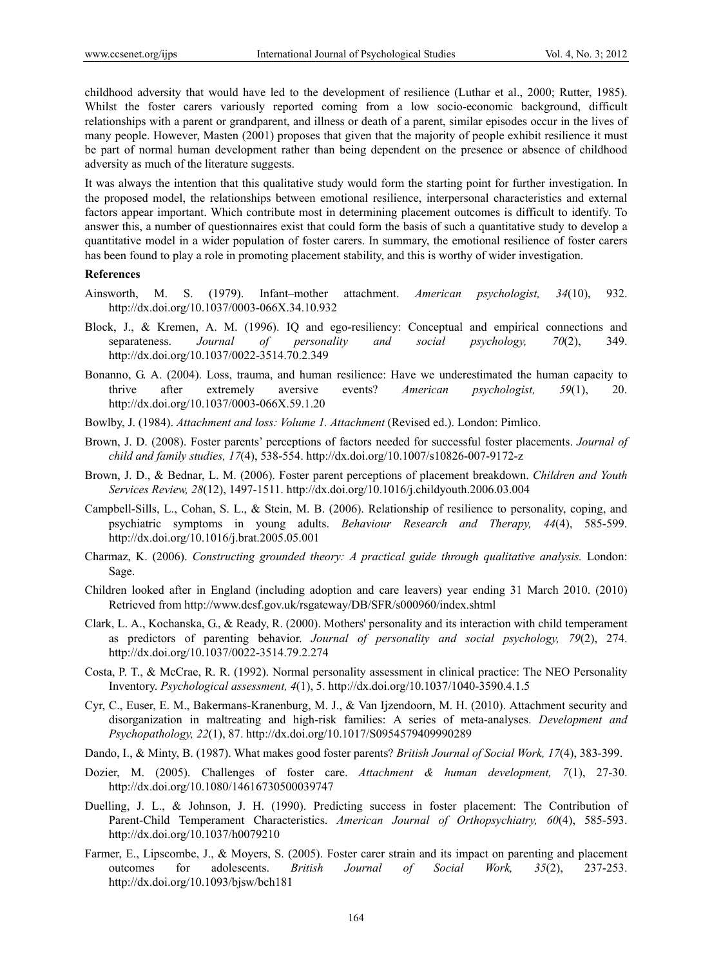childhood adversity that would have led to the development of resilience (Luthar et al., 2000; Rutter, 1985). Whilst the foster carers variously reported coming from a low socio-economic background, difficult relationships with a parent or grandparent, and illness or death of a parent, similar episodes occur in the lives of many people. However, Masten (2001) proposes that given that the majority of people exhibit resilience it must be part of normal human development rather than being dependent on the presence or absence of childhood adversity as much of the literature suggests.

It was always the intention that this qualitative study would form the starting point for further investigation. In the proposed model, the relationships between emotional resilience, interpersonal characteristics and external factors appear important. Which contribute most in determining placement outcomes is difficult to identify. To answer this, a number of questionnaires exist that could form the basis of such a quantitative study to develop a quantitative model in a wider population of foster carers. In summary, the emotional resilience of foster carers has been found to play a role in promoting placement stability, and this is worthy of wider investigation.

#### **References**

- Ainsworth, M. S. (1979). Infant–mother attachment. *American psychologist, 34*(10), 932. http://dx.doi.org/10.1037/0003-066X.34.10.932
- Block, J., & Kremen, A. M. (1996). IQ and ego-resiliency: Conceptual and empirical connections and separateness. *Journal of personality and social psychology, 70*(2), 349. http://dx.doi.org/10.1037/0022-3514.70.2.349
- Bonanno, G. A. (2004). Loss, trauma, and human resilience: Have we underestimated the human capacity to thrive after extremely aversive events? *American psychologist, 59*(1), 20. http://dx.doi.org/10.1037/0003-066X.59.1.20
- Bowlby, J. (1984). *Attachment and loss: Volume 1. Attachment* (Revised ed.). London: Pimlico.
- Brown, J. D. (2008). Foster parents' perceptions of factors needed for successful foster placements. *Journal of child and family studies, 17*(4), 538-554. http://dx.doi.org/10.1007/s10826-007-9172-z
- Brown, J. D., & Bednar, L. M. (2006). Foster parent perceptions of placement breakdown. *Children and Youth Services Review, 28*(12), 1497-1511. http://dx.doi.org/10.1016/j.childyouth.2006.03.004
- Campbell-Sills, L., Cohan, S. L., & Stein, M. B. (2006). Relationship of resilience to personality, coping, and psychiatric symptoms in young adults. *Behaviour Research and Therapy, 44*(4), 585-599. http://dx.doi.org/10.1016/j.brat.2005.05.001
- Charmaz, K. (2006). *Constructing grounded theory: A practical guide through qualitative analysis.* London: Sage.
- Children looked after in England (including adoption and care leavers) year ending 31 March 2010. (2010) Retrieved from http://www.dcsf.gov.uk/rsgateway/DB/SFR/s000960/index.shtml
- Clark, L. A., Kochanska, G., & Ready, R. (2000). Mothers' personality and its interaction with child temperament as predictors of parenting behavior. *Journal of personality and social psychology, 79*(2), 274. http://dx.doi.org/10.1037/0022-3514.79.2.274
- Costa, P. T., & McCrae, R. R. (1992). Normal personality assessment in clinical practice: The NEO Personality Inventory. *Psychological assessment, 4*(1), 5. http://dx.doi.org/10.1037/1040-3590.4.1.5
- Cyr, C., Euser, E. M., Bakermans-Kranenburg, M. J., & Van Ijzendoorn, M. H. (2010). Attachment security and disorganization in maltreating and high-risk families: A series of meta-analyses. *Development and Psychopathology, 22*(1), 87. http://dx.doi.org/10.1017/S0954579409990289
- Dando, I., & Minty, B. (1987). What makes good foster parents? *British Journal of Social Work, 17*(4), 383-399.
- Dozier, M. (2005). Challenges of foster care. *Attachment & human development, 7*(1), 27-30. http://dx.doi.org/10.1080/14616730500039747
- Duelling, J. L., & Johnson, J. H. (1990). Predicting success in foster placement: The Contribution of Parent-Child Temperament Characteristics. *American Journal of Orthopsychiatry, 60*(4), 585-593. http://dx.doi.org/10.1037/h0079210
- Farmer, E., Lipscombe, J., & Moyers, S. (2005). Foster carer strain and its impact on parenting and placement outcomes for adolescents. *British Journal of Social Work, 35*(2), 237-253. http://dx.doi.org/10.1093/bjsw/bch181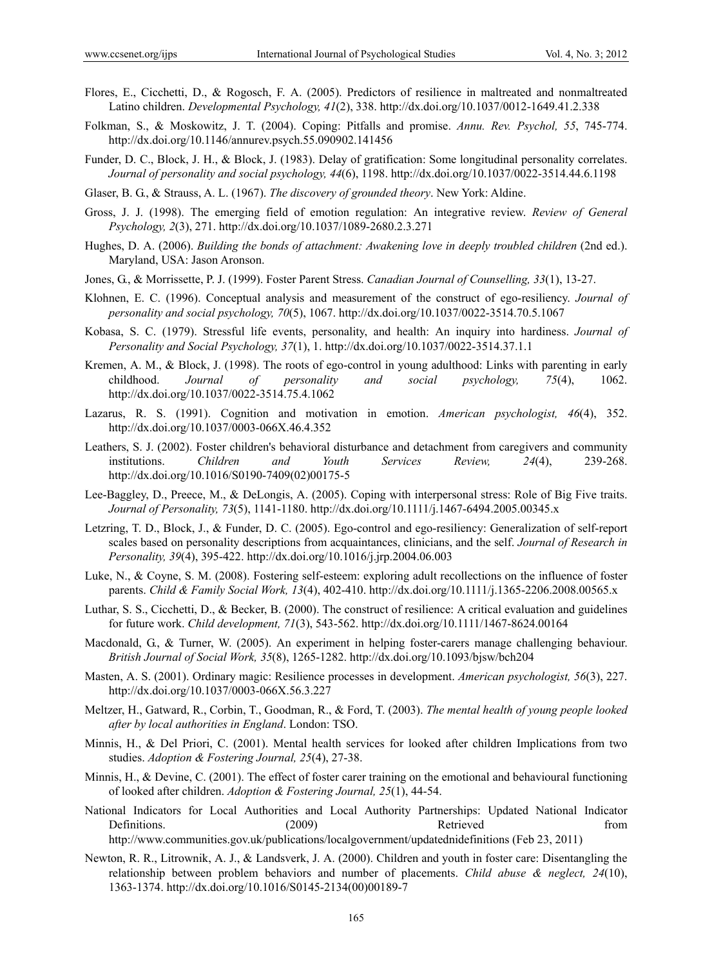- Flores, E., Cicchetti, D., & Rogosch, F. A. (2005). Predictors of resilience in maltreated and nonmaltreated Latino children. *Developmental Psychology, 41*(2), 338. http://dx.doi.org/10.1037/0012-1649.41.2.338
- Folkman, S., & Moskowitz, J. T. (2004). Coping: Pitfalls and promise. *Annu. Rev. Psychol, 55*, 745-774. http://dx.doi.org/10.1146/annurev.psych.55.090902.141456
- Funder, D. C., Block, J. H., & Block, J. (1983). Delay of gratification: Some longitudinal personality correlates. *Journal of personality and social psychology, 44*(6), 1198. http://dx.doi.org/10.1037/0022-3514.44.6.1198
- Glaser, B. G., & Strauss, A. L. (1967). *The discovery of grounded theory*. New York: Aldine.
- Gross, J. J. (1998). The emerging field of emotion regulation: An integrative review. *Review of General Psychology, 2*(3), 271. http://dx.doi.org/10.1037/1089-2680.2.3.271
- Hughes, D. A. (2006). *Building the bonds of attachment: Awakening love in deeply troubled children* (2nd ed.). Maryland, USA: Jason Aronson.
- Jones, G., & Morrissette, P. J. (1999). Foster Parent Stress. *Canadian Journal of Counselling, 33*(1), 13-27.
- Klohnen, E. C. (1996). Conceptual analysis and measurement of the construct of ego-resiliency. *Journal of personality and social psychology, 70*(5), 1067. http://dx.doi.org/10.1037/0022-3514.70.5.1067
- Kobasa, S. C. (1979). Stressful life events, personality, and health: An inquiry into hardiness. *Journal of Personality and Social Psychology, 37*(1), 1. http://dx.doi.org/10.1037/0022-3514.37.1.1
- Kremen, A. M., & Block, J. (1998). The roots of ego-control in young adulthood: Links with parenting in early childhood. *Journal of personality and social psychology, 75*(4), 1062. http://dx.doi.org/10.1037/0022-3514.75.4.1062
- Lazarus, R. S. (1991). Cognition and motivation in emotion. *American psychologist, 46*(4), 352. http://dx.doi.org/10.1037/0003-066X.46.4.352
- Leathers, S. J. (2002). Foster children's behavioral disturbance and detachment from caregivers and community institutions. *Children and Youth Services Review, 24*(4), 239-268. http://dx.doi.org/10.1016/S0190-7409(02)00175-5
- Lee-Baggley, D., Preece, M., & DeLongis, A. (2005). Coping with interpersonal stress: Role of Big Five traits. *Journal of Personality, 73*(5), 1141-1180. http://dx.doi.org/10.1111/j.1467-6494.2005.00345.x
- Letzring, T. D., Block, J., & Funder, D. C. (2005). Ego-control and ego-resiliency: Generalization of self-report scales based on personality descriptions from acquaintances, clinicians, and the self. *Journal of Research in Personality, 39*(4), 395-422. http://dx.doi.org/10.1016/j.jrp.2004.06.003
- Luke, N., & Coyne, S. M. (2008). Fostering self-esteem: exploring adult recollections on the influence of foster parents. *Child & Family Social Work, 13*(4), 402-410. http://dx.doi.org/10.1111/j.1365-2206.2008.00565.x
- Luthar, S. S., Cicchetti, D., & Becker, B. (2000). The construct of resilience: A critical evaluation and guidelines for future work. *Child development, 71*(3), 543-562. http://dx.doi.org/10.1111/1467-8624.00164
- Macdonald, G., & Turner, W. (2005). An experiment in helping foster-carers manage challenging behaviour. *British Journal of Social Work, 35*(8), 1265-1282. http://dx.doi.org/10.1093/bjsw/bch204
- Masten, A. S. (2001). Ordinary magic: Resilience processes in development. *American psychologist, 56*(3), 227. http://dx.doi.org/10.1037/0003-066X.56.3.227
- Meltzer, H., Gatward, R., Corbin, T., Goodman, R., & Ford, T. (2003). *The mental health of young people looked after by local authorities in England*. London: TSO.
- Minnis, H., & Del Priori, C. (2001). Mental health services for looked after children Implications from two studies. *Adoption & Fostering Journal, 25*(4), 27-38.
- Minnis, H., & Devine, C. (2001). The effect of foster carer training on the emotional and behavioural functioning of looked after children. *Adoption & Fostering Journal, 25*(1), 44-54.
- National Indicators for Local Authorities and Local Authority Partnerships: Updated National Indicator Definitions. (2009) Retrieved from http://www.communities.gov.uk/publications/localgovernment/updatednidefinitions (Feb 23, 2011)
- Newton, R. R., Litrownik, A. J., & Landsverk, J. A. (2000). Children and youth in foster care: Disentangling the relationship between problem behaviors and number of placements. *Child abuse & neglect, 24*(10), 1363-1374. http://dx.doi.org/10.1016/S0145-2134(00)00189-7